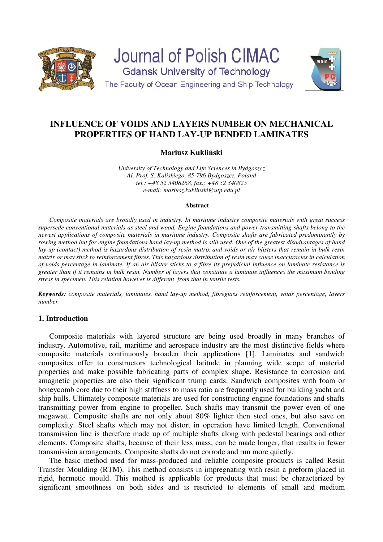

**Journal of Polish CIMAC Gdansk University of Technology** The Faculty of Ocean Engineering and Ship Technology



**INFLUENCE OF VOIDS AND LAYERS NUMBER ON MECHANICAL PROPERTIES OF HAND LAY-UP BENDED LAMINATES**

# **Mariusz Kukliński**

*University of Technology and Life Sciences in Bydgoszcz Al. Prof. S. Kaliskiego, 85-796 Bydgoszcz, Poland tel.: +48 52 3408268, fax.: +48 52 340825 e-mail: mariusz.kuklinski@utp.edu.pl* 

### **Abstract**

*Composite materials are broadly used in industry. In maritime industry composite materials with great success supersede conventional materials as steel and wood. Engine foundations and power-transmitting shafts belong to the newest applications of composite materials in maritime industry. Composite shafts are fabricated predominantly by rowing method but for engine foundations hand lay-up method is still used. One of the greatest disadvantages of hand lay-up (contact) method is hazardous distribution of resin matrix and voids or air blisters that remain in bulk resin matrix or may stick to reinforcement fibres. This hazardous distribution of resin may cause inaccuracies in calculation of voids percentage in laminate. If an air blister sticks to a fibre its prejudicial influence on laminate resistance is greater than if it remains in bulk resin. Number of layers that constitute a laminate influences the maximum bending stress in specimen. This relation however is different from that in tensile tests.* 

*Keywords: composite materials, laminates, hand lay-up method, fibreglass reinforcement, voids percentage, layers number* 

## **1. Introduction**

Composite materials with layered structure are being used broadly in many branches of industry. Automotive, rail, maritime and aerospace industry are the most distinctive fields where composite materials continuously broaden their applications [1]. Laminates and sandwich composites offer to constructors technological latitude in planning wide scope of material properties and make possible fabricating parts of complex shape. Resistance to corrosion and amagnetic properties are also their significant trump cards. Sandwich composites with foam or honeycomb core due to their high stiffness to mass ratio are frequently used for building yacht and ship hulls. Ultimately composite materials are used for constructing engine foundations and shafts transmitting power from engine to propeller. Such shafts may transmit the power even of one megawatt. Composite shafts are not only about 80% lighter then steel ones, but also save on complexity. Steel shafts which may not distort in operation have limited length. Conventional transmission line is therefore made up of multiple shafts along with pedestal bearings and other elements. Composite shafts, because of their less mass, can be made longer, that results in fewer transmission arrangements. Composite shafts do not corrode and run more quietly.

The basic method used for mass-produced and reliable composite products is called Resin Transfer Moulding (RTM). This method consists in impregnating with resin a preform placed in rigid, hermetic mould. This method is applicable for products that must be characterized by significant smoothness on both sides and is restricted to elements of small and medium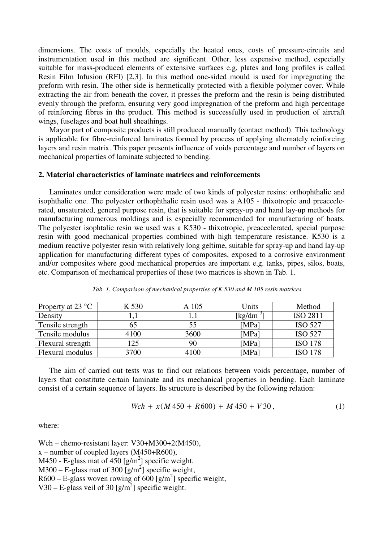dimensions. The costs of moulds, especially the heated ones, costs of pressure-circuits and instrumentation used in this method are significant. Other, less expensive method, especially suitable for mass-produced elements of extensive surfaces e.g. plates and long profiles is called Resin Film Infusion (RFI) [2,3]. In this method one-sided mould is used for impregnating the preform with resin. The other side is hermetically protected with a flexible polymer cover. While extracting the air from beneath the cover, it presses the preform and the resin is being distributed evenly through the preform, ensuring very good impregnation of the preform and high percentage of reinforcing fibres in the product. This method is successfully used in production of aircraft wings, fuselages and boat hull sheathings.

Mayor part of composite products is still produced manually (contact method). This technology is applicable for fibre-reinforced laminates formed by process of applying alternately reinforcing layers and resin matrix. This paper presents influence of voids percentage and number of layers on mechanical properties of laminate subjected to bending.

### **2. Material characteristics of laminate matrices and reinforcements**

Laminates under consideration were made of two kinds of polyester resins: orthophthalic and isophthalic one. The polyester orthophthalic resin used was a A105 - thixotropic and preaccelerated, unsaturated, general purpose resin, that is suitable for spray-up and hand lay-up methods for manufacturing numerous moldings and is especially recommended for manufacturing of boats. The polyester isophtalic resin we used was a K530 - thixotropic, preaccelerated, special purpose resin with good mechanical properties combined with high temperature resistance. K530 is a medium reactive polyester resin with relatively long geltime, suitable for spray-up and hand lay-up application for manufacturing different types of composites, exposed to a corrosive environment and/or composites where good mechanical properties are important e.g. tanks, pipes, silos, boats, etc. Comparison of mechanical properties of these two matrices is shown in Tab. 1.

| Property at $23 \text{ }^{\circ}\text{C}$ | K 530 | A 105 | Units          | Method          |
|-------------------------------------------|-------|-------|----------------|-----------------|
| Density                                   | I, l  |       | [kg/dm $\cdot$ | <b>ISO 2811</b> |
| Tensile strength                          | 65    | 55    | [MPa]          | <b>ISO 527</b>  |
| Tensile modulus                           | 4100  | 3600  | [MPa]          | <b>ISO 527</b>  |
| Flexural strength                         | 125   | 90    | [MPa]          | <b>ISO 178</b>  |
| Flexural modulus                          | 3700  | 4100  | [MPa]          | <b>ISO 178</b>  |

*Tab. 1. Comparison of mechanical properties of K 530 and M 105 resin matrices* 

The aim of carried out tests was to find out relations between voids percentage, number of layers that constitute certain laminate and its mechanical properties in bending. Each laminate consist of a certain sequence of layers. Its structure is described by the following relation:

$$
Wch + x(M 450 + R600) + M 450 + V30, \qquad (1)
$$

where:

Wch – chemo-resistant layer: V30+M300+2(M450), x – number of coupled layers (M450+R600), M450 - E-glass mat of 450  $[g/m^2]$  specific weight, M300 – E-glass mat of 300  $[g/m^2]$  specific weight, R600 – E-glass woven rowing of 600  $\left[\text{g/m}^2\right]$  specific weight, V30 – E-glass veil of 30  $[g/m^2]$  specific weight.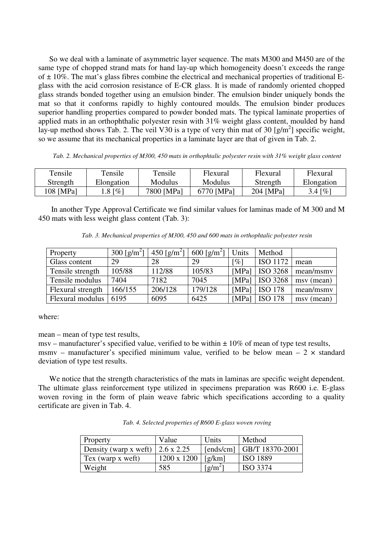So we deal with a laminate of asymmetric layer sequence. The mats M300 and M450 are of the same type of chopped strand mats for hand lay-up which homogeneity doesn't exceeds the range of  $\pm$  10%. The mat's glass fibres combine the electrical and mechanical properties of traditional Eglass with the acid corrosion resistance of E-CR glass. It is made of randomly oriented chopped glass strands bonded together using an emulsion binder. The emulsion binder uniquely bonds the mat so that it conforms rapidly to highly contoured moulds. The emulsion binder produces superior handling properties compared to powder bonded mats. The typical laminate properties of applied mats in an orthophthalic polyester resin with 31% weight glass content, moulded by hand lay-up method shows Tab. 2. The veil V30 is a type of very thin mat of 30  $[g/m^2]$  specific weight, so we assume that its mechanical properties in a laminate layer are that of given in Tab. 2.

*Tab. 2. Mechanical properties of M300, 450 mats in orthophtalic polyester resin with 31% weight glass content* 

| Tensile   | Tensile    | Tensile    | Flexural   | Flexural  | Flexural               |
|-----------|------------|------------|------------|-----------|------------------------|
| Strength  | Elongation | Modulus    | Modulus    | Strength  | Elongation             |
| 108 [MPa] | $.8\,[%]$  | 7800 [MPa] | 6770 [MPa] | 204 [MPa] | 3.4 $\lceil \% \rceil$ |

 In another Type Approval Certificate we find similar values for laminas made of M 300 and M 450 mats with less weight glass content (Tab. 3):

*Tab. 3. Mechanical properties of M300, 450 and 600 mats in orthophtalic polyester resin* 

| Property          | 300 [g/m <sup>2</sup> ] | 450 [ $g/m^2$ ] | 600 [g/m <sup>2</sup> ] | Units              | Method          |            |
|-------------------|-------------------------|-----------------|-------------------------|--------------------|-----------------|------------|
| Glass content     | 29                      | 28              | 29                      | $\lceil \% \rceil$ | <b>ISO 1172</b> | mean       |
| Tensile strength  | 105/88                  | 112/88          | 105/83                  | [MPa]              | <b>ISO 3268</b> | mean/msmv  |
| Tensile modulus   | 7404                    | 7182            | 7045                    | [MPa]              | <b>ISO 3268</b> | msv (mean) |
| Flexural strength | 166/155                 | 206/128         | 179/128                 | [MPa]              | <b>ISO 178</b>  | mean/msmv  |
| Flexural modulus  | 6195                    | 6095            | 6425                    | [MPa]              | <b>ISO 178</b>  | msv (mean) |

where:

mean – mean of type test results,

msv – manufacturer's specified value, verified to be within  $\pm 10\%$  of mean of type test results, msmv – manufacturer's specified minimum value, verified to be below mean –  $2 \times$  standard deviation of type test results.

We notice that the strength characteristics of the mats in laminas are specific weight dependent. The ultimate glass reinforcement type utilized in specimens preparation was R600 i.e. E-glass woven roving in the form of plain weave fabric which specifications according to a quality certificate are given in Tab. 4.

| Property                                            | Value       | Units                        | Method                            |
|-----------------------------------------------------|-------------|------------------------------|-----------------------------------|
| Density (warp x weft) $\vert 2.6 \times 2.25 \vert$ |             |                              | [ends/cm] $\vert$ GB/T 18370-2001 |
| Tex (warp x weft)                                   | 1200 x 1200 | $\lceil \frac{g}{km} \rceil$ | <b>ISO 1889</b>                   |
| Weight                                              | 585         | $\left[\text{g/m}^2\right]$  | <b>ISO 3374</b>                   |

*Tab. 4. Selected properties of R600 E-glass woven roving*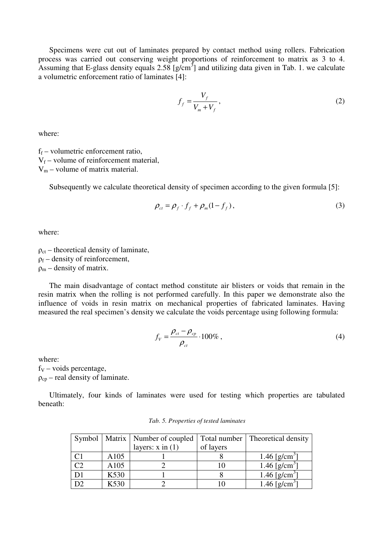Specimens were cut out of laminates prepared by contact method using rollers. Fabrication process was carried out conserving weight proportions of reinforcement to matrix as 3 to 4. Assuming that E-glass density equals 2.58  $[g/cm^3]$  and utilizing data given in Tab. 1. we calculate a volumetric enforcement ratio of laminates [4]:

$$
f_f = \frac{V_f}{V_m + V_f},\tag{2}
$$

where:

 $f_f$  – volumetric enforcement ratio,  $V_f$  – volume of reinforcement material,  $V_m$  – volume of matrix material.

Subsequently we calculate theoretical density of specimen according to the given formula [5]:

$$
\rho_{ct} = \rho_f \cdot f_f + \rho_m (1 - f_f), \qquad (3)
$$

where:

 $\rho_{\rm ct}$  – theoretical density of laminate,  $p_f$  – density of reinforcement,  $\rho_m$  – density of matrix.

The main disadvantage of contact method constitute air blisters or voids that remain in the resin matrix when the rolling is not performed carefully. In this paper we demonstrate also the influence of voids in resin matrix on mechanical properties of fabricated laminates. Having measured the real specimen's density we calculate the voids percentage using following formula:

$$
f_V = \frac{\rho_{ct} - \rho_{cp}}{\rho_{ct}} \cdot 100\%,\tag{4}
$$

where:

 $f_V$  – voids percentage,  $\rho_{cp}$  – real density of laminate.

Ultimately, four kinds of laminates were used for testing which properties are tabulated beneath:

| Symbol         |      | Matrix   Number of coupled |           | Total number   Theoretical density     |
|----------------|------|----------------------------|-----------|----------------------------------------|
|                |      | layers: $x$ in $(1)$       | of layers |                                        |
|                | A105 |                            |           | 1.46 $[g/cm^3]$                        |
| C <sub>2</sub> | A105 |                            |           | 1.46 [g/cm <sup>3</sup> ]              |
| D <sub>1</sub> | K530 |                            |           | $1.46$ [g/cm <sup>3</sup> ]            |
| D2             | K530 |                            |           | $\overline{1.46}$ [g/cm <sup>3</sup> ] |

*Tab. 5. Properties of tested laminates*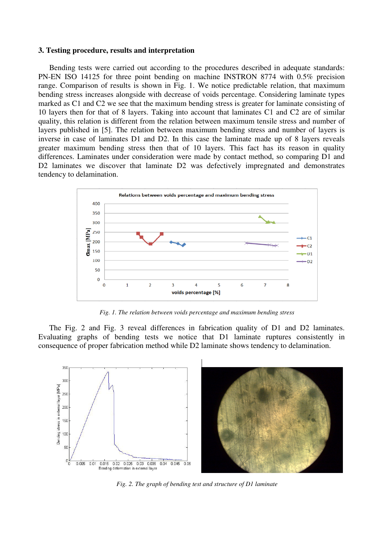### **3. Testing procedure, results and interpretation**

Bending tests were carried out according to the procedures described in adequate standards: PN-EN ISO 14125 for three point bending on machine INSTRON 8774 with 0.5% precision range. Comparison of results is shown in Fig. 1. We notice predictable relation, that maximum bending stress increases alongside with decrease of voids percentage. Considering laminate types marked as C1 and C2 we see that the maximum bending stress is greater for laminate consisting of 10 layers then for that of 8 layers. Taking into account that laminates C1 and C2 are of similar quality, this relation is different from the relation between maximum tensile stress and number of layers published in [5]. The relation between maximum bending stress and number of layers is inverse in case of laminates D1 and D2. In this case the laminate made up of 8 layers reveals greater maximum bending stress then that of 10 layers. This fact has its reason in quality differences. Laminates under consideration were made by contact method, so comparing D1 and D2 laminates we discover that laminate D2 was defectively impregnated and demonstrates tendency to delamination.



*Fig. 1. The relation between voids percentage and maximum bending stress* 

The Fig. 2 and Fig. 3 reveal differences in fabrication quality of D1 and D2 laminates. Evaluating graphs of bending tests we notice that D1 laminate ruptures consistently in consequence of proper fabrication method while D2 laminate shows tendency to delamination.



*Fig. 2. The graph of bending test and structure of D1 laminate*